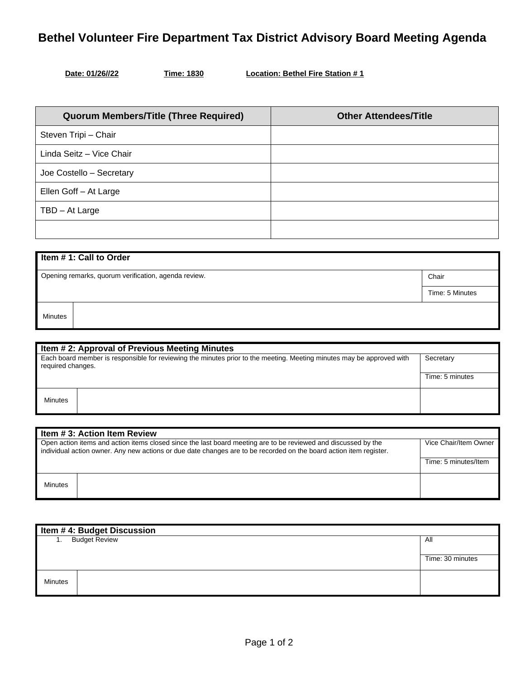## **Bethel Volunteer Fire Department Tax District Advisory Board Meeting Agenda**

| Date: 01/26//22 |
|-----------------|
|                 |

**Time: 1830 Location: Bethel Fire Station # 1** 

| <b>Quorum Members/Title (Three Required)</b> | <b>Other Attendees/Title</b> |
|----------------------------------------------|------------------------------|
| Steven Tripi - Chair                         |                              |
| Linda Seitz - Vice Chair                     |                              |
| Joe Costello - Secretary                     |                              |
| Ellen Goff - At Large                        |                              |
| TBD - At Large                               |                              |
|                                              |                              |

| Item #1: Call to Order                                        |                 |  |
|---------------------------------------------------------------|-----------------|--|
| Opening remarks, quorum verification, agenda review.<br>Chair |                 |  |
|                                                               | Time: 5 Minutes |  |
| <b>Minutes</b>                                                |                 |  |

| Item # 2: Approval of Previous Meeting Minutes                                                                                             |  |                 |
|--------------------------------------------------------------------------------------------------------------------------------------------|--|-----------------|
| Each board member is responsible for reviewing the minutes prior to the meeting. Meeting minutes may be approved with<br>required changes. |  | Secretary       |
|                                                                                                                                            |  | Time: 5 minutes |
| Minutes                                                                                                                                    |  |                 |

| I Item # 3: Action Item Review                                                                                                                                                                                                       |  |                       |
|--------------------------------------------------------------------------------------------------------------------------------------------------------------------------------------------------------------------------------------|--|-----------------------|
| Open action items and action items closed since the last board meeting are to be reviewed and discussed by the<br>individual action owner. Any new actions or due date changes are to be recorded on the board action item register. |  | Vice Chair/Item Owner |
|                                                                                                                                                                                                                                      |  | Time: 5 minutes/Item  |
| <b>Minutes</b>                                                                                                                                                                                                                       |  |                       |

| Item #4: Budget Discussion |  |                  |
|----------------------------|--|------------------|
| <b>Budget Review</b><br>1. |  | All              |
|                            |  |                  |
|                            |  | Time: 30 minutes |
| <b>Minutes</b>             |  |                  |